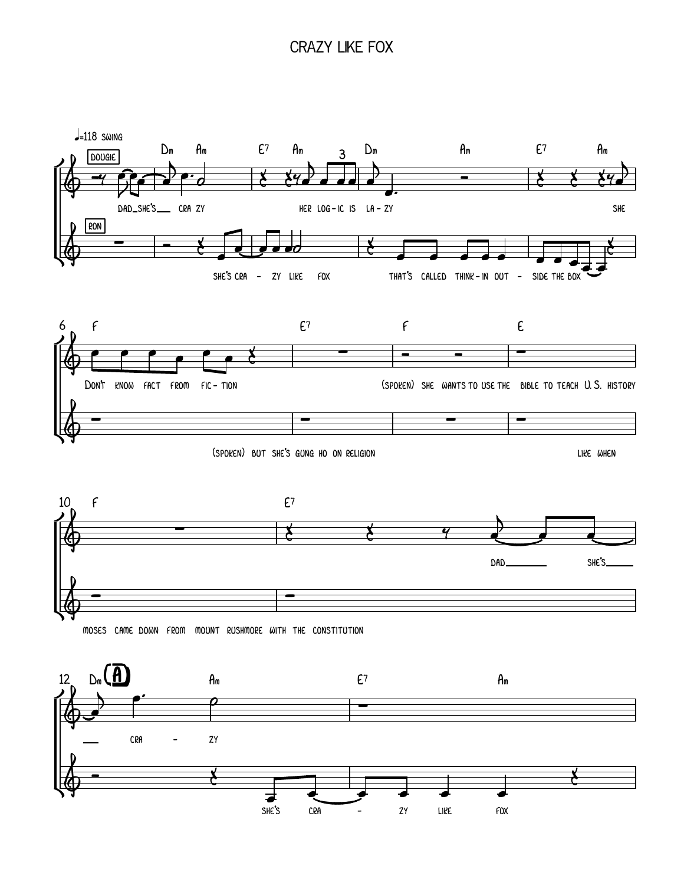## crazy like fox

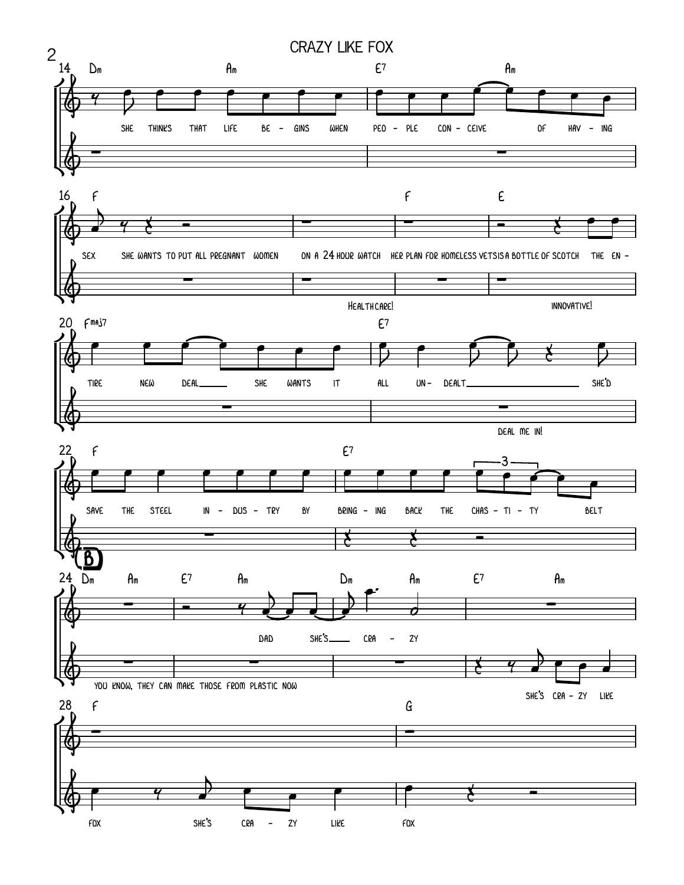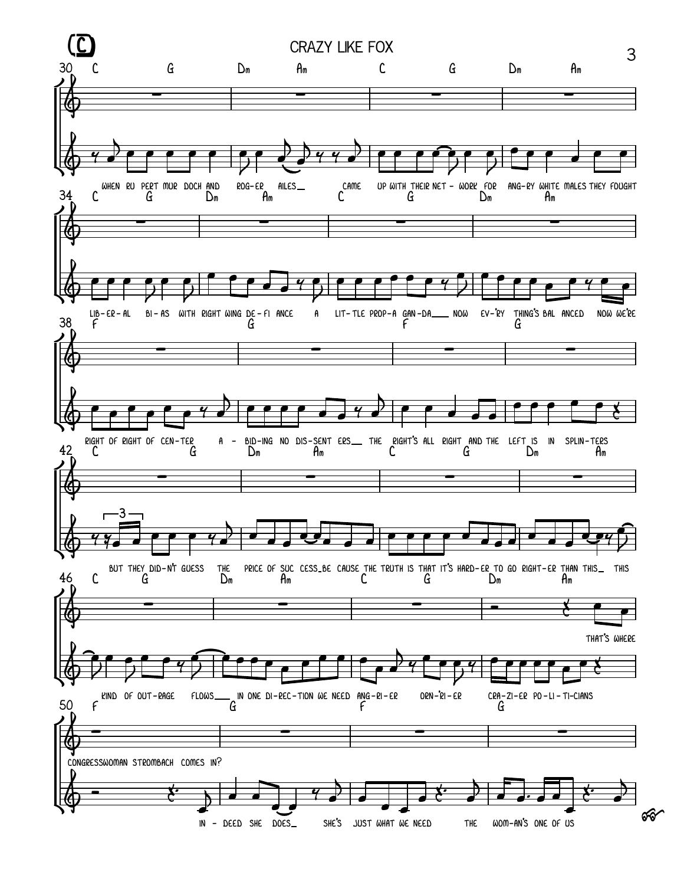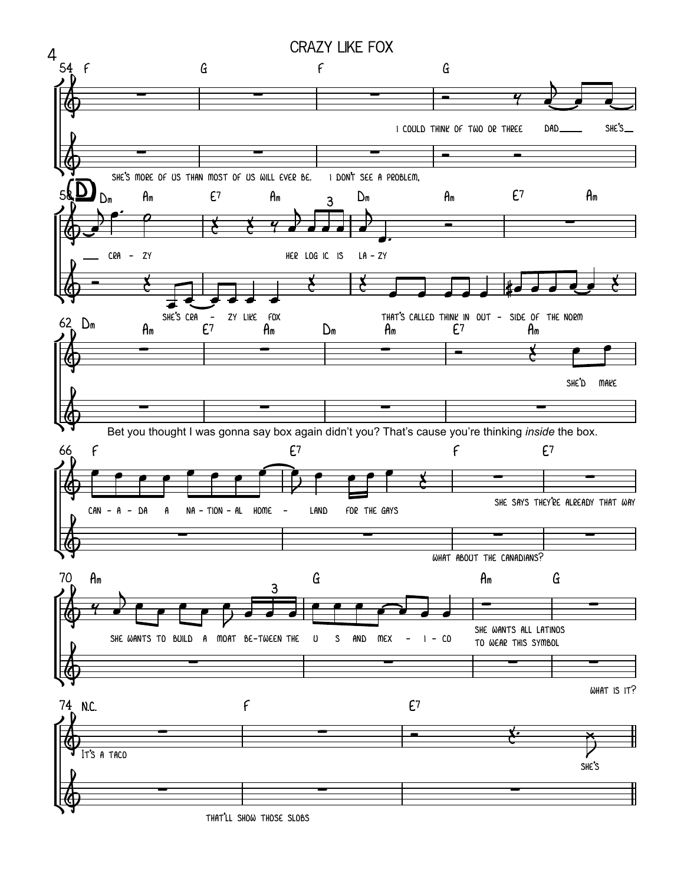